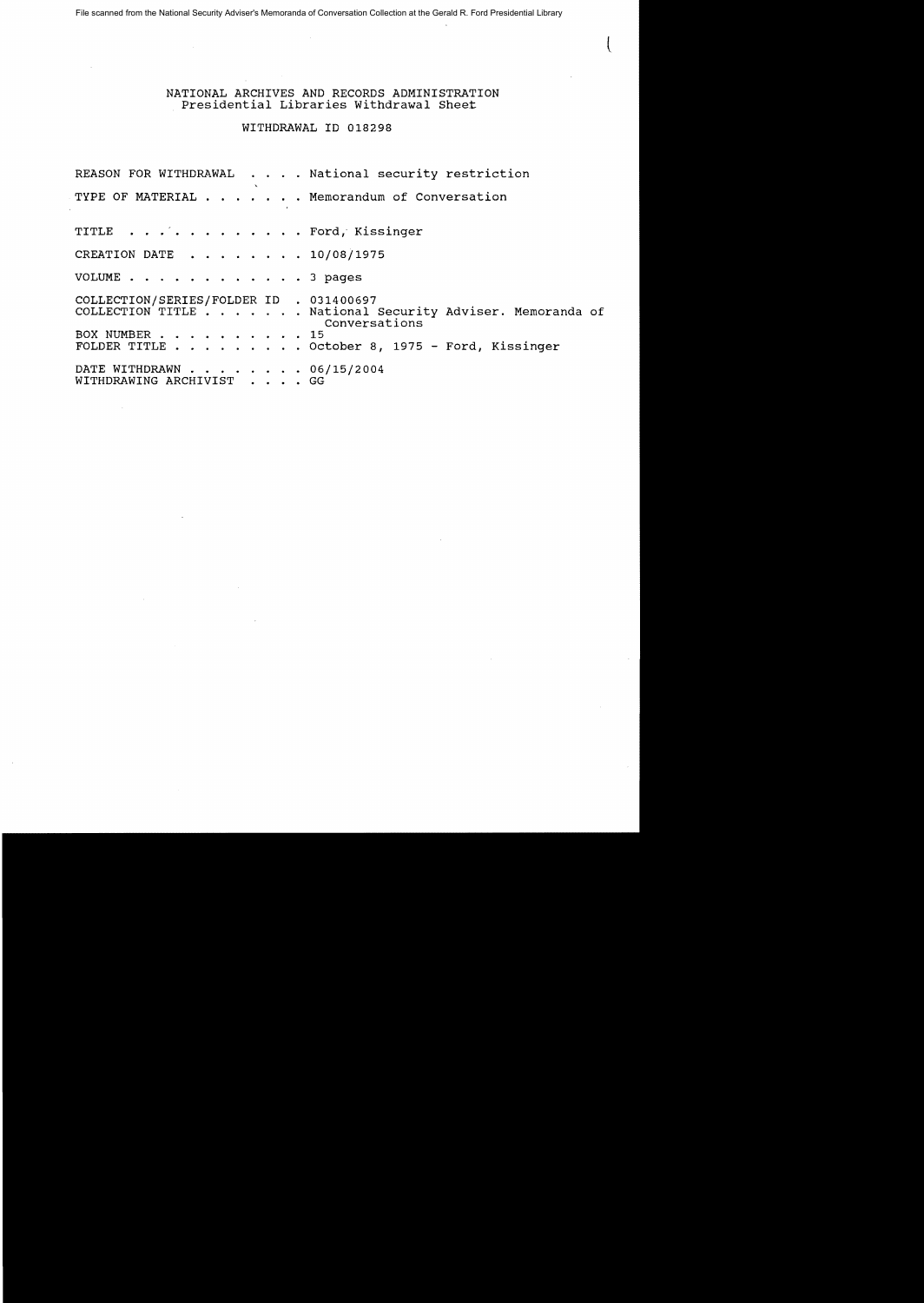File scanned from the National Security Adviser's Memoranda of Conversation Collection at the Gerald R. Ford Presidential Library

## NATIONAL ARCHIVES AND RECORDS ADMINISTRATION Presidential Libraries withdrawal Sheet

 $\overline{(\ }$ 

## WITHDRAWAL ID 018298

REASON FOR WITHDRAWAL . . . . National security restriction TYPE OF MATERIAL  $\dots$   $\dots$  . Memorandum of Conversation TITLE . . . . . . . . . . . . Ford, Kissinger CREATION DATE . . . . . . . 10/08/1975 VOLUME  $\cdots$   $\cdots$   $\cdots$   $\cdots$   $\cdots$  3 pages COLLECTION/SERIES/FOLDER ID . 031400697 COLLECTION TITLE . . . . . . National Security Adviser. Memoranda of Conversations<br>15 BOX NUMBER . . . . . . . . . . .  $\blacksquare$ FOLDER TITLE. .. . ... October 8, 1975 - Ford, Kissinger FOLDER TITLE . . . . . . . . . October 8,<br>DATE WITHDRAWN . . . . . . . . 06/15/2004<br>WITHDRAWING ARCHIVIST . . . . GG